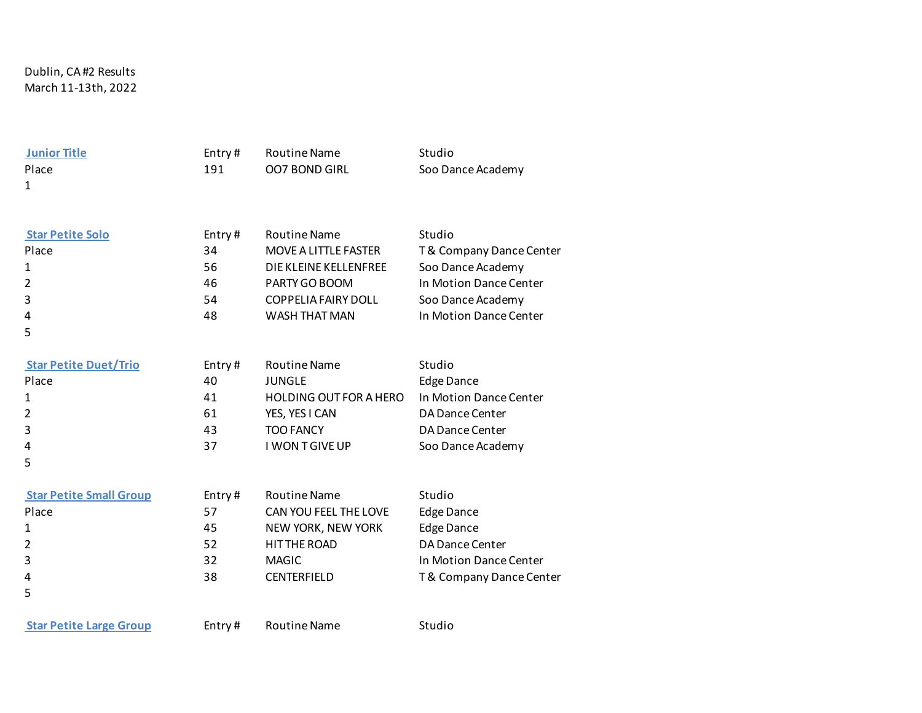Dublin, CA #2 Results March 11-13th, 2022

5

**Iunior Title Entry # Routine Name** Studio Place 191 OO7 BOND GIRL Soo Dance Academy 1 **Star Petite Solo** Entry # Routine Name Studio Place 34 MOVE A LITTLE FASTER T& Company Dance Center

1 56 DIE KLEINE KELLENFREE Soo Dance Academy 2 46 PARTY GO BOOM In Motion Dance Center 3 54 COPPELIA FAIRY DOLL Soo Dance Academy 4 48 WASH THAT MAN In Motion Dance Center

**Star Petite Duet/Trio** Entry # Routine Name Studio Place 20 40 JUNGLE Edge Dance 1 41 HOLDING OUT FOR A HERO In Motion Dance Center 2 61 YES, YES I CAN DA Dance Center 3 43 TOO FANCY DA Dance Center 4 37 I WON T GIVE UP Soo Dance Academy 5

| <b>Star Petite Small Group</b> | Entry# | <b>Routine Name</b>   | Studio                  |
|--------------------------------|--------|-----------------------|-------------------------|
| Place                          | 57     | CAN YOU FEEL THE LOVE | Edge Dance              |
| 1                              | 45     | NEW YORK, NEW YORK    | <b>Edge Dance</b>       |
| $\overline{2}$                 | 52     | HIT THE ROAD          | DA Dance Center         |
| 3                              | 32     | <b>MAGIC</b>          | In Motion Dance Center  |
| 4                              | 38     | <b>CENTERFIELD</b>    | T& Company Dance Center |
| 5                              |        |                       |                         |

**Star Petite Large Group** Entry # Routine Name Studio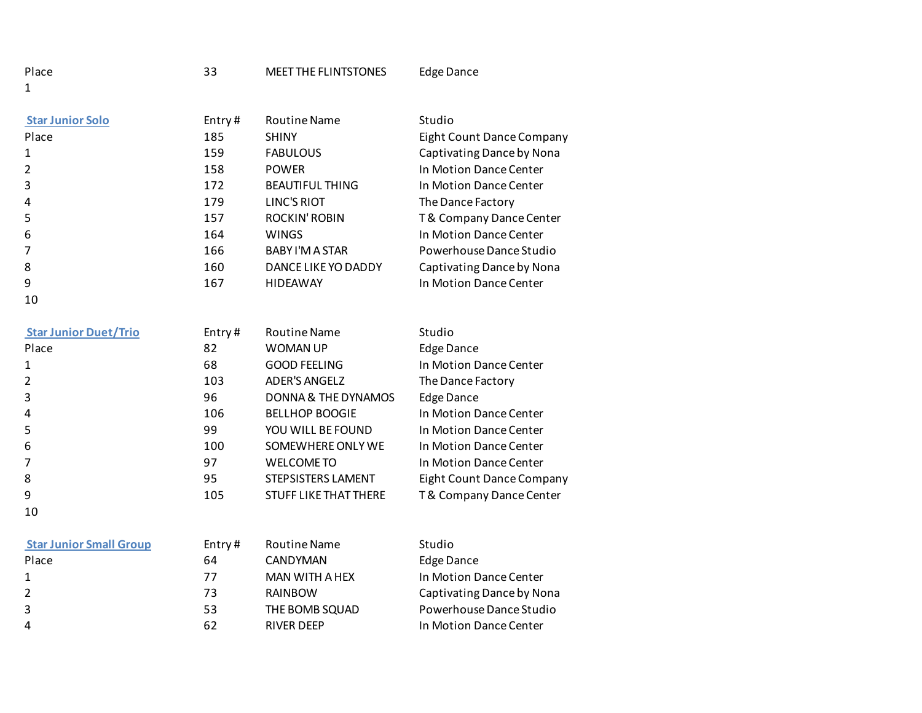| Entry# | <b>Routine Name</b>    | Studio                    |
|--------|------------------------|---------------------------|
| 185    | <b>SHINY</b>           | Eight Count Dance Company |
| 159    | <b>FABULOUS</b>        | Captivating Dance by Nona |
| 158    | <b>POWER</b>           | In Motion Dance Center    |
| 172    | <b>BEAUTIFUL THING</b> | In Motion Dance Center    |
| 179    | LINC'S RIOT            | The Dance Factory         |
| 157    | ROCKIN' ROBIN          | T& Company Dance Center   |
| 164    | <b>WINGS</b>           | In Motion Dance Center    |
| 166    | BABY I'M A STAR        | Powerhouse Dance Studio   |
| 160    | DANCE LIKE YO DADDY    | Captivating Dance by Nona |
| 167    | <b>HIDEAWAY</b>        | In Motion Dance Center    |
|        |                        |                           |

| <b>Star Junior Duet/Trio</b> | Entry# | <b>Routine Name</b>          | Studio                    |
|------------------------------|--------|------------------------------|---------------------------|
| Place                        | 82     | <b>WOMAN UP</b>              | <b>Edge Dance</b>         |
|                              | 68     | <b>GOOD FEELING</b>          | In Motion Dance Center    |
|                              | 103    | <b>ADER'S ANGELZ</b>         | The Dance Factory         |
| 3                            | 96     | DONNA & THE DYNAMOS          | <b>Edge Dance</b>         |
| 4                            | 106    | <b>BELLHOP BOOGIE</b>        | In Motion Dance Center    |
| 5                            | 99     | YOU WILL BE FOUND            | In Motion Dance Center    |
| 6                            | 100    | SOMEWHERE ONLY WE            | In Motion Dance Center    |
|                              | 97     | WELCOME TO                   | In Motion Dance Center    |
| 8                            | 95     | STEPSISTERS LAMENT           | Eight Count Dance Company |
| 9                            | 105    | <b>STUFF LIKE THAT THERE</b> | T& Company Dance Center   |
| 10                           |        |                              |                           |

| <b>Star Junior Small Group</b> |
|--------------------------------|
|--------------------------------|

| <b>Star Junior Small Group</b> | Entry # | Routine Name      | Studio                    |
|--------------------------------|---------|-------------------|---------------------------|
| Place                          | 64      | CANDYMAN          | Edge Dance                |
| 1                              | 77      | MAN WITH A HEX    | In Motion Dance Center    |
| 2                              | 73      | RAINBOW           | Captivating Dance by Nona |
| 3                              | 53      | THE BOMB SQUAD    | Powerhouse Dance Studio   |
| $\overline{4}$                 | 62      | <b>RIVER DEEP</b> | In Motion Dance Center    |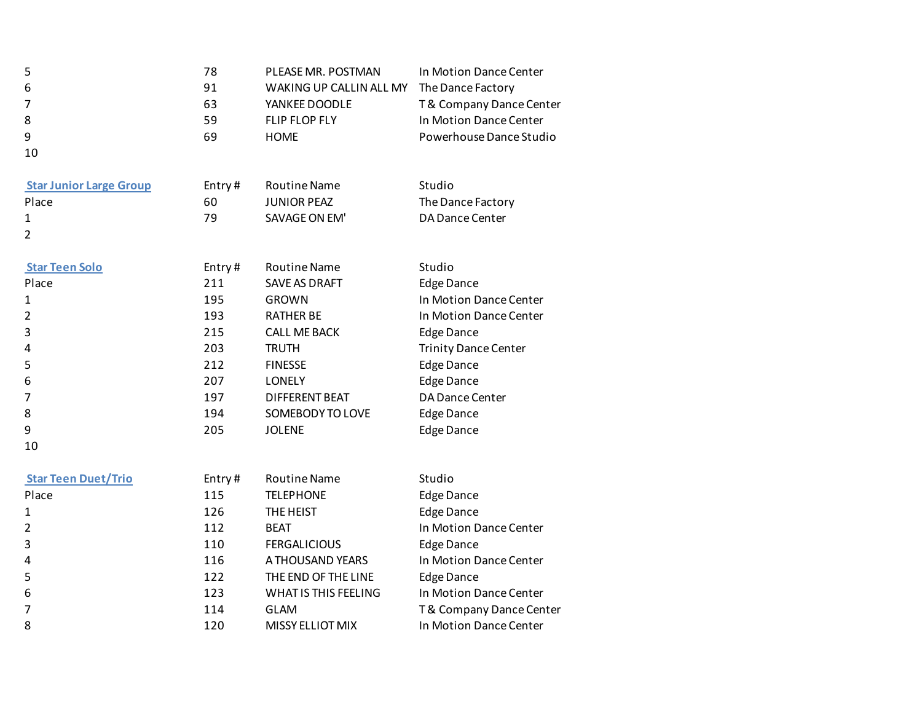| 5<br>6<br>7<br>8<br>9<br>10    | 78<br>91<br>63<br>59<br>69 | PLEASE MR. POSTMAN<br>WAKING UP CALLIN ALL MY<br>YANKEE DOODLE<br>FLIP FLOP FLY<br><b>HOME</b> | In Motion Dance Center<br>The Dance Factory<br>T& Company Dance Center<br>In Motion Dance Center<br>Powerhouse Dance Studio |
|--------------------------------|----------------------------|------------------------------------------------------------------------------------------------|-----------------------------------------------------------------------------------------------------------------------------|
| <b>Star Junior Large Group</b> | Entry#                     | <b>Routine Name</b>                                                                            | Studio                                                                                                                      |
| Place                          | 60                         | <b>JUNIOR PEAZ</b>                                                                             | The Dance Factory                                                                                                           |
| 1                              | 79                         | SAVAGE ON EM'                                                                                  | DA Dance Center                                                                                                             |
| $\overline{2}$                 |                            |                                                                                                |                                                                                                                             |
| <b>Star Teen Solo</b>          | Entry#                     | <b>Routine Name</b>                                                                            | Studio                                                                                                                      |
| Place                          | 211                        | <b>SAVE AS DRAFT</b>                                                                           | <b>Edge Dance</b>                                                                                                           |
| 1                              | 195                        | <b>GROWN</b>                                                                                   | In Motion Dance Center                                                                                                      |
| $\overline{2}$                 | 193                        | <b>RATHER BE</b>                                                                               | In Motion Dance Center                                                                                                      |
| 3                              | 215                        | <b>CALL ME BACK</b>                                                                            | <b>Edge Dance</b>                                                                                                           |
| 4                              | 203                        | <b>TRUTH</b>                                                                                   | <b>Trinity Dance Center</b>                                                                                                 |
| 5                              | 212                        | <b>FINESSE</b>                                                                                 | <b>Edge Dance</b>                                                                                                           |
| 6                              | 207                        | <b>LONELY</b>                                                                                  | <b>Edge Dance</b>                                                                                                           |
| 7                              | 197                        | <b>DIFFERENT BEAT</b>                                                                          | DA Dance Center                                                                                                             |
| 8                              | 194                        | SOMEBODY TO LOVE                                                                               | <b>Edge Dance</b>                                                                                                           |
| 9                              | 205                        | <b>JOLENE</b>                                                                                  | <b>Edge Dance</b>                                                                                                           |
| 10                             |                            |                                                                                                |                                                                                                                             |
| <b>Star Teen Duet/Trio</b>     | Entry#                     | <b>Routine Name</b>                                                                            | Studio                                                                                                                      |
| Place                          | 115                        | <b>TELEPHONE</b>                                                                               | <b>Edge Dance</b>                                                                                                           |
| 1                              | 126                        | THE HEIST                                                                                      | <b>Edge Dance</b>                                                                                                           |
| $\overline{2}$                 | 112                        | <b>BEAT</b>                                                                                    | In Motion Dance Center                                                                                                      |
| 3                              | 110                        | <b>FERGALICIOUS</b>                                                                            | <b>Edge Dance</b>                                                                                                           |
| 4                              | 116                        | A THOUSAND YEARS                                                                               | In Motion Dance Center                                                                                                      |
| 5                              | 122                        | THE END OF THE LINE                                                                            | <b>Edge Dance</b>                                                                                                           |
| 6                              | 123                        | WHAT IS THIS FEELING                                                                           | In Motion Dance Center                                                                                                      |
| 7                              | 114                        | <b>GLAM</b>                                                                                    | T& Company Dance Center                                                                                                     |
| 8                              | 120                        | <b>MISSY ELLIOT MIX</b>                                                                        | In Motion Dance Center                                                                                                      |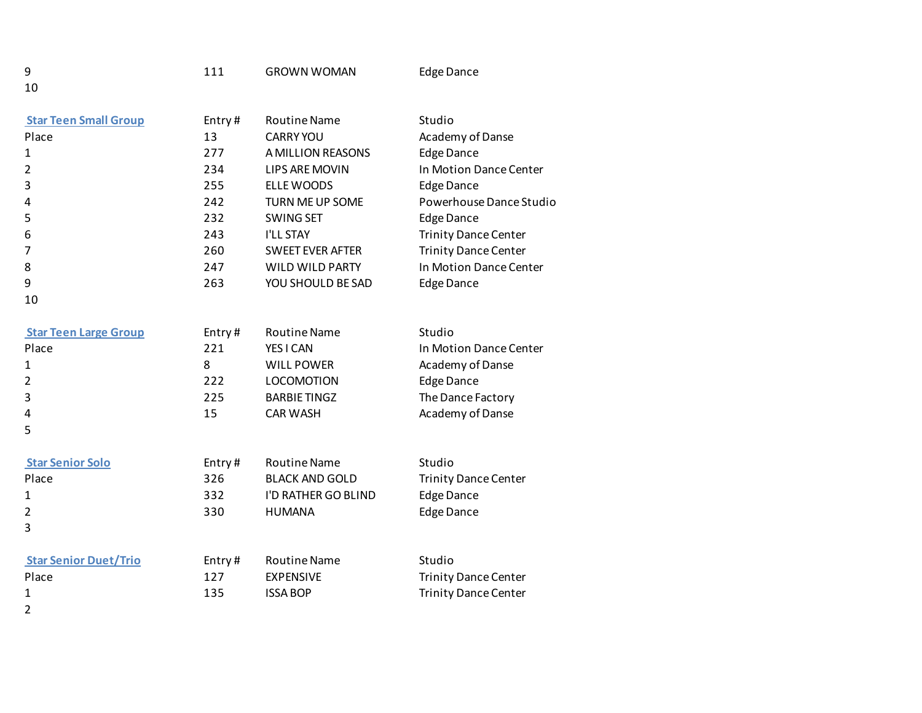10

10

5

| <b>Star Teen Small Group</b> | Entry# | <b>Routine Name</b>     | Studio                      |
|------------------------------|--------|-------------------------|-----------------------------|
| Place                        | 13     | <b>CARRY YOU</b>        | Academy of Danse            |
| 1                            | 277    | A MILLION REASONS       | <b>Edge Dance</b>           |
| 2                            | 234    | LIPS ARE MOVIN          | In Motion Dance Center      |
| 3                            | 255    | ELLE WOODS              | <b>Edge Dance</b>           |
| 4                            | 242    | TURN ME UP SOME         | Powerhouse Dance Studio     |
| 5                            | 232    | <b>SWING SET</b>        | Edge Dance                  |
| 6                            | 243    | <b>I'LL STAY</b>        | <b>Trinity Dance Center</b> |
| 7                            | 260    | <b>SWEET EVER AFTER</b> | <b>Trinity Dance Center</b> |
| 8                            | 247    | WILD WILD PARTY         | In Motion Dance Center      |
| 9                            | 263    | YOU SHOULD BE SAD       | Edge Dance                  |

- **Star Teen Large Group** Entry # Routine Name Studio Place 221 YES I CAN In Motion Dance Center 1 8 WILL POWER Academy of Danse 2 222 LOCOMOTION Edge Dance 3 225 BARBIE TINGZ The Dance Factory 4 15 CAR WASH Academy of Danse
- **Star Senior Solo Entry # Routine Name** Studio Place 326 BLACK AND GOLD Trinity Dance Center 1 332 I'D RATHER GO BLIND Edge Dance 2 330 HUMANA Edge Dance 3

| <b>Star Senior Duet/Trio</b> | Entry# | Routine Name    | Studio               |
|------------------------------|--------|-----------------|----------------------|
| Place                        | 127    | EXPENSIVE       | Trinity Dance Center |
|                              | 135    | <b>ISSA BOP</b> | Trinity Dance Center |

2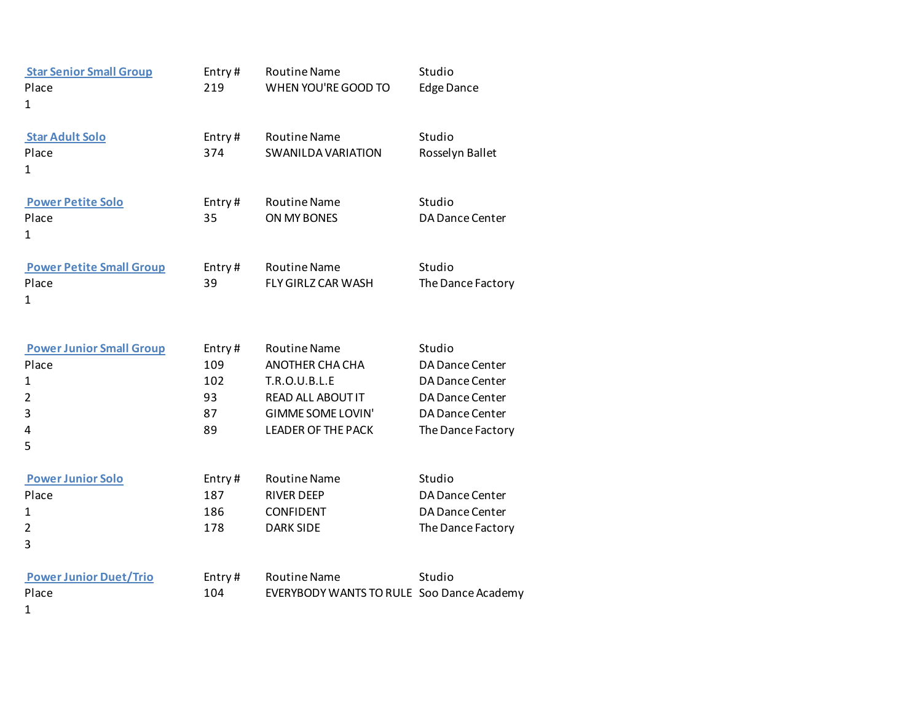| <b>Star Senior Small Group</b><br>Place<br>1                                              | Entry#<br>219                          | <b>Routine Name</b><br>WHEN YOU'RE GOOD TO                                                                                                   | Studio<br><b>Edge Dance</b>                                                                                    |
|-------------------------------------------------------------------------------------------|----------------------------------------|----------------------------------------------------------------------------------------------------------------------------------------------|----------------------------------------------------------------------------------------------------------------|
| <b>Star Adult Solo</b><br>Place<br>1                                                      | Entry#<br>374                          | <b>Routine Name</b><br><b>SWANILDA VARIATION</b>                                                                                             | Studio<br>Rosselyn Ballet                                                                                      |
| <b>Power Petite Solo</b><br>Place<br>1                                                    | Entry#<br>35                           | <b>Routine Name</b><br>ON MY BONES                                                                                                           | Studio<br>DA Dance Center                                                                                      |
| <b>Power Petite Small Group</b><br>Place<br>1                                             | Entry#<br>39                           | <b>Routine Name</b><br>FLY GIRLZ CAR WASH                                                                                                    | Studio<br>The Dance Factory                                                                                    |
| <b>Power Junior Small Group</b><br>Place<br>$\mathbf{1}$<br>$\overline{2}$<br>3<br>4<br>5 | Entry#<br>109<br>102<br>93<br>87<br>89 | <b>Routine Name</b><br>ANOTHER CHA CHA<br>T.R.O.U.B.L.E<br><b>READ ALL ABOUT IT</b><br><b>GIMME SOME LOVIN'</b><br><b>LEADER OF THE PACK</b> | Studio<br>DA Dance Center<br>DA Dance Center<br><b>DA Dance Center</b><br>DA Dance Center<br>The Dance Factory |
| <b>Power Junior Solo</b><br>Place<br>1<br>$\overline{2}$<br>3                             | Entry#<br>187<br>186<br>178            | <b>Routine Name</b><br><b>RIVER DEEP</b><br><b>CONFIDENT</b><br><b>DARK SIDE</b>                                                             | Studio<br>DA Dance Center<br><b>DA Dance Center</b><br>The Dance Factory                                       |
| <b>Power Junior Duet/Trio</b><br>Place<br>$\mathbf{1}$                                    | Entry#<br>104                          | <b>Routine Name</b><br>EVERYBODY WANTS TO RULE Soo Dance Academy                                                                             | Studio                                                                                                         |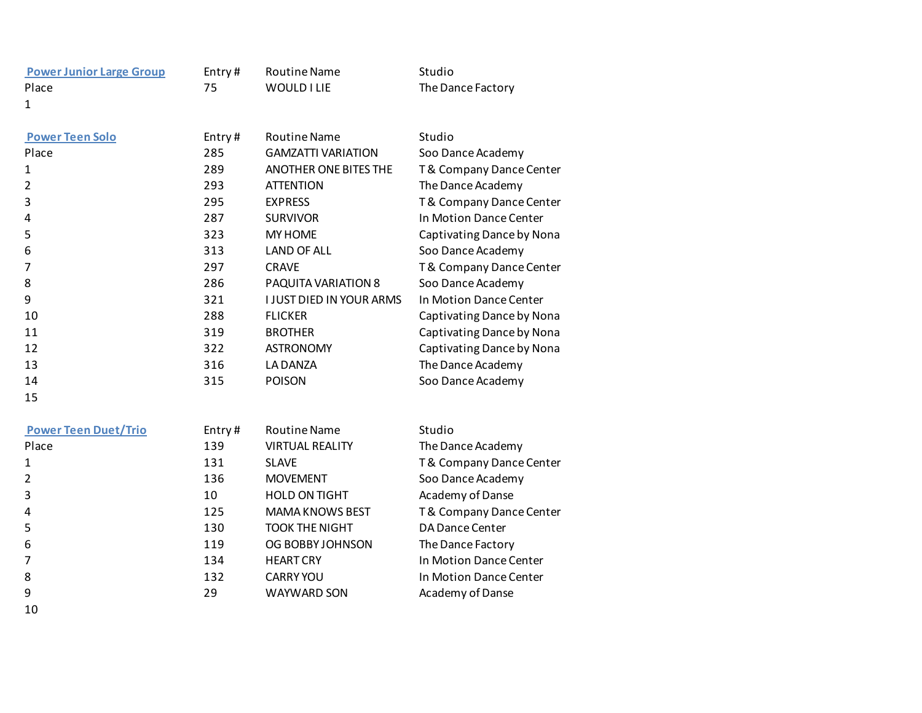| <b>Power Junior Large Group</b> | Entry# | <b>Routine Name</b>       | Studio                  |
|---------------------------------|--------|---------------------------|-------------------------|
| Place                           | 75     | <b>WOULD I LIE</b>        | The Dance Factory       |
| 1                               |        |                           |                         |
| <b>Power Teen Solo</b>          | Entry# | <b>Routine Name</b>       | Studio                  |
| Place                           | 285    | <b>GAMZATTI VARIATION</b> | Soo Dance Academy       |
| $\mathbf{1}$                    | 289    | ANOTHER ONE BITES THE     | T& Company Dance Center |
| $\overline{2}$                  | 293    | <b>ATTENTION</b>          | The Dance Academy       |
| 3                               | 295    | <b>EXPRESS</b>            | T& Company Dance Center |
| 4                               | 287    | <b>SURVIVOR</b>           | In Motion Dance Center  |
| $\overline{\phantom{0}}$        | ---    | . . <i>. . .</i> .        | _   _ _                 |

| 4  | 201 | <b>JUNVIVUN</b>                 | <u>III IVIULIUII DAIILE CEIILEI</u> |
|----|-----|---------------------------------|-------------------------------------|
| 5  | 323 | <b>MY HOME</b>                  | Captivating Dance by Nona           |
| 6  | 313 | <b>LAND OF ALL</b>              | Soo Dance Academy                   |
| 7  | 297 | <b>CRAVE</b>                    | T& Company Dance Center             |
| 8  | 286 | PAQUITA VARIATION 8             | Soo Dance Academy                   |
| 9  | 321 | <b>I JUST DIED IN YOUR ARMS</b> | In Motion Dance Center              |
| 10 | 288 | <b>FLICKER</b>                  | Captivating Dance by Nona           |
| 11 | 319 | <b>BROTHER</b>                  | Captivating Dance by Nona           |
| 12 | 322 | <b>ASTRONOMY</b>                | Captivating Dance by Nona           |
| 13 | 316 | LA DANZA                        | The Dance Academy                   |
| 14 | 315 | <b>POISON</b>                   | Soo Dance Academy                   |

15

| <b>Power Teen Duet/Trio</b> | Entry# | <b>Routine Name</b>    | Studio                  |
|-----------------------------|--------|------------------------|-------------------------|
| Place                       | 139    | <b>VIRTUAL REALITY</b> | The Dance Academy       |
| 1                           | 131    | <b>SLAVE</b>           | T& Company Dance Center |
| $\overline{2}$              | 136    | <b>MOVEMENT</b>        | Soo Dance Academy       |
| 3                           | 10     | <b>HOLD ON TIGHT</b>   | Academy of Danse        |
| 4                           | 125    | <b>MAMA KNOWS BEST</b> | T& Company Dance Center |
| 5                           | 130    | <b>TOOK THE NIGHT</b>  | DA Dance Center         |
| 6                           | 119    | OG BOBBY JOHNSON       | The Dance Factory       |
| 7                           | 134    | <b>HEART CRY</b>       | In Motion Dance Center  |
| 8                           | 132    | <b>CARRY YOU</b>       | In Motion Dance Center  |
| 9                           | 29     | <b>WAYWARD SON</b>     | Academy of Danse        |
| 10                          |        |                        |                         |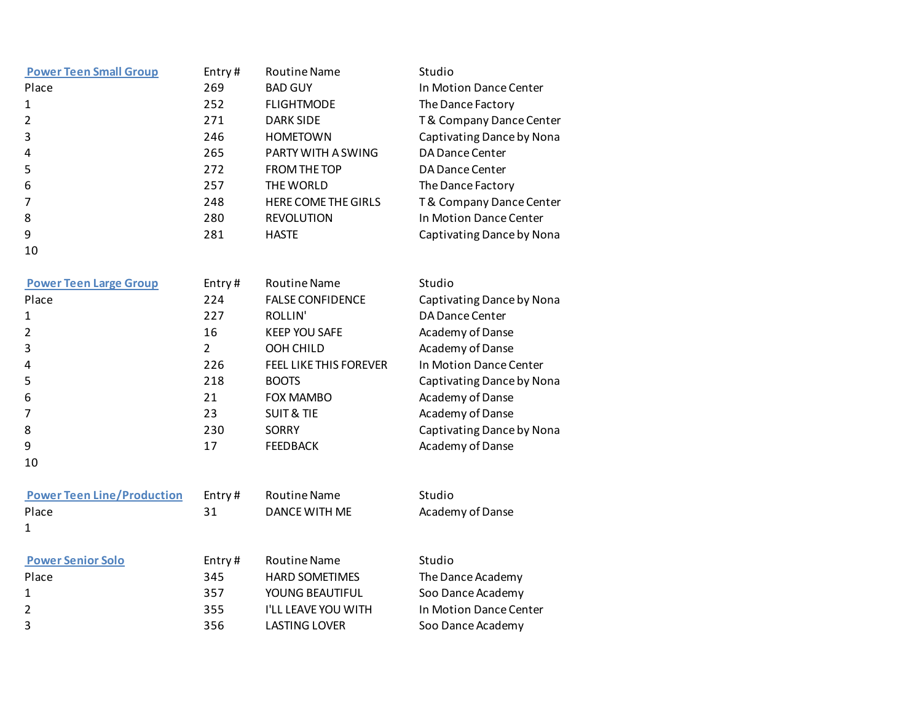| <b>Power Teen Small Group</b> | Entry# | <b>Routine Name</b> | Studio                    |
|-------------------------------|--------|---------------------|---------------------------|
| Place                         | 269    | <b>BAD GUY</b>      | In Motion Dance Center    |
| 1                             | 252    | <b>FLIGHTMODE</b>   | The Dance Factory         |
| 2                             | 271    | <b>DARK SIDE</b>    | T& Company Dance Center   |
| 3                             | 246    | <b>HOMETOWN</b>     | Captivating Dance by Nona |
| 4                             | 265    | PARTY WITH A SWING  | DA Dance Center           |
| 5                             | 272    | <b>FROM THE TOP</b> | DA Dance Center           |
| 6                             | 257    | THE WORLD           | The Dance Factory         |
| 7                             | 248    | HERE COME THE GIRLS | T& Company Dance Center   |
| 8                             | 280    | <b>REVOLUTION</b>   | In Motion Dance Center    |
| 9                             | 281    | <b>HASTE</b>        | Captivating Dance by Nona |
| 10                            |        |                     |                           |

| <b>Power Teen Large Group</b> | Entry# | <b>Routine Name</b>           | Studio                    |
|-------------------------------|--------|-------------------------------|---------------------------|
| Place                         | 224    | <b>FALSE CONFIDENCE</b>       | Captivating Dance by Nona |
| 1                             | 227    | ROLLIN'                       | DA Dance Center           |
| 2                             | 16     | <b>KEEP YOU SAFE</b>          | Academy of Danse          |
| 3                             | 2      | OOH CHILD                     | Academy of Danse          |
| 4                             | 226    | <b>FEEL LIKE THIS FOREVER</b> | In Motion Dance Center    |
| 5                             | 218    | <b>BOOTS</b>                  | Captivating Dance by Nona |
| 6                             | 21     | <b>FOX MAMBO</b>              | Academy of Danse          |
|                               | 23     | <b>SUIT &amp; TIE</b>         | Academy of Danse          |
| 8                             | 230    | SORRY                         | Captivating Dance by Nona |
| 9                             | 17     | <b>FEEDBACK</b>               | Academy of Danse          |
| 10                            |        |                               |                           |

| <b>Power Teen Line/Production</b> | Entry# | Routine Name  |
|-----------------------------------|--------|---------------|
| Place                             | 31     | DANCE WITH ME |
|                                   |        |               |

| Studio           |
|------------------|
| Academy of Danse |

| <b>Power Senior Solo</b> | Entry# | Routine Name               | Studio                 |
|--------------------------|--------|----------------------------|------------------------|
| Place                    | 345    | <b>HARD SOMETIMES</b>      | The Dance Academy      |
| 1                        | 357    | YOUNG BEAUTIFUL            | Soo Dance Academy      |
|                          | 355    | <b>I'LL LEAVE YOU WITH</b> | In Motion Dance Center |
| 3                        | 356    | <b>LASTING LOVER</b>       | Soo Dance Academy      |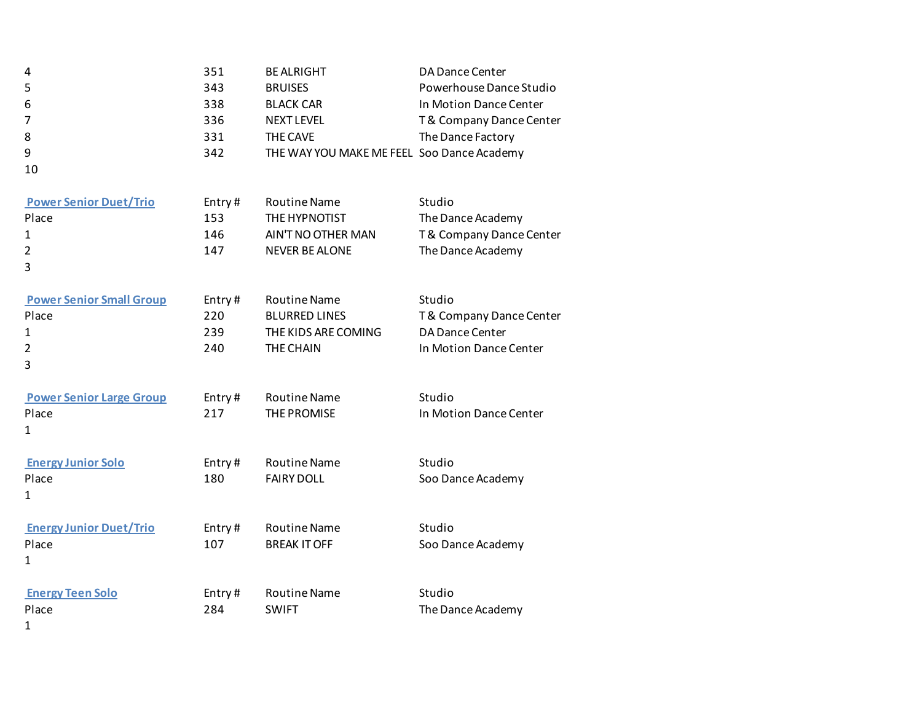| 4<br>5<br>6<br>$\overline{7}$<br>8<br>9<br>10                                   | 351<br>343<br>338<br>336<br>331<br>342 | <b>BE ALRIGHT</b><br><b>BRUISES</b><br><b>BLACK CAR</b><br><b>NEXT LEVEL</b><br><b>THE CAVE</b><br>THE WAY YOU MAKE ME FEEL Soo Dance Academy | DA Dance Center<br>Powerhouse Dance Studio<br>In Motion Dance Center<br>T& Company Dance Center<br>The Dance Factory |
|---------------------------------------------------------------------------------|----------------------------------------|-----------------------------------------------------------------------------------------------------------------------------------------------|----------------------------------------------------------------------------------------------------------------------|
| <b>Power Senior Duet/Trio</b><br>Place<br>$\mathbf{1}$<br>$\overline{2}$<br>3   | Entry#<br>153<br>146<br>147            | <b>Routine Name</b><br>THE HYPNOTIST<br>AIN'T NO OTHER MAN<br><b>NEVER BE ALONE</b>                                                           | Studio<br>The Dance Academy<br>T& Company Dance Center<br>The Dance Academy                                          |
| <b>Power Senior Small Group</b><br>Place<br>$\mathbf{1}$<br>$\overline{2}$<br>3 | Entry#<br>220<br>239<br>240            | <b>Routine Name</b><br><b>BLURRED LINES</b><br>THE KIDS ARE COMING<br>THE CHAIN                                                               | Studio<br>T& Company Dance Center<br>DA Dance Center<br>In Motion Dance Center                                       |
| <b>Power Senior Large Group</b><br>Place<br>$\mathbf{1}$                        | Entry#<br>217                          | <b>Routine Name</b><br>THE PROMISE                                                                                                            | Studio<br>In Motion Dance Center                                                                                     |
| <b>Energy Junior Solo</b><br>Place<br>1                                         | Entry#<br>180                          | <b>Routine Name</b><br><b>FAIRY DOLL</b>                                                                                                      | Studio<br>Soo Dance Academy                                                                                          |
| <b>Energy Junior Duet/Trio</b><br>Place<br>$\mathbf{1}$                         | Entry#<br>107                          | <b>Routine Name</b><br><b>BREAK IT OFF</b>                                                                                                    | Studio<br>Soo Dance Academy                                                                                          |
| <b>Energy Teen Solo</b><br>Place<br>1                                           | Entry#<br>284                          | <b>Routine Name</b><br><b>SWIFT</b>                                                                                                           | Studio<br>The Dance Academy                                                                                          |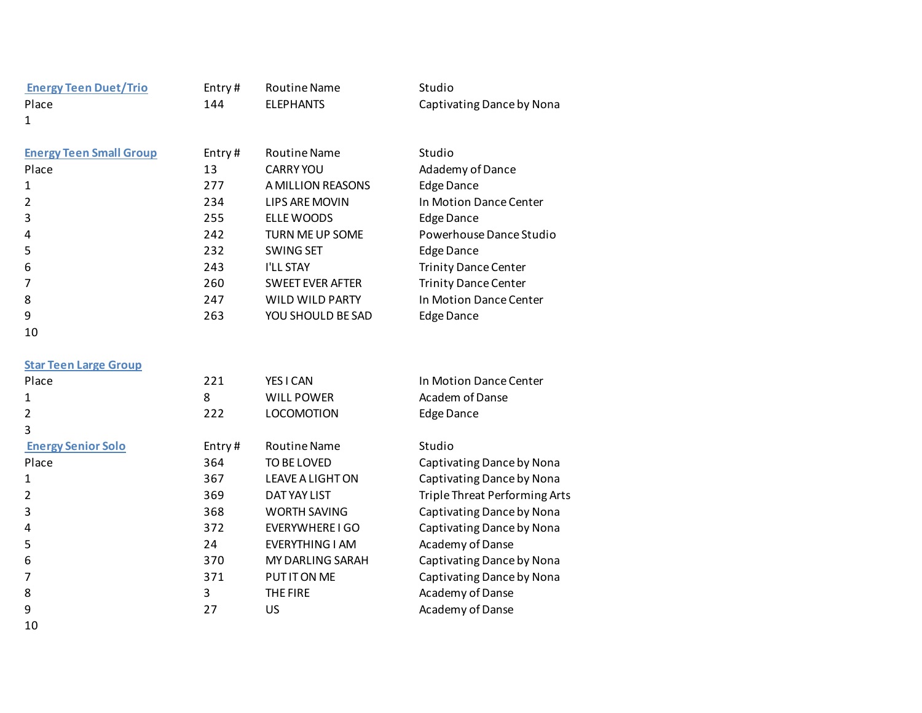| <b>Energy Teen Duet/Trio</b>   | Entry# | <b>Routine Name</b>     | Studio                      |
|--------------------------------|--------|-------------------------|-----------------------------|
| Place                          | 144    | <b>ELEPHANTS</b>        | Captivating Dance by Nona   |
| 1                              |        |                         |                             |
|                                |        |                         |                             |
| <b>Energy Teen Small Group</b> | Entry# | <b>Routine Name</b>     | Studio                      |
| Place                          | 13     | <b>CARRY YOU</b>        | Adademy of Dance            |
| 1                              | 277    | A MILLION REASONS       | <b>Edge Dance</b>           |
| $\overline{2}$                 | 234    | LIPS ARE MOVIN          | In Motion Dance Center      |
| 3                              | 255    | ELLE WOODS              | <b>Edge Dance</b>           |
| 4                              | 242    | TURN ME UP SOME         | Powerhouse Dance Studio     |
| 5                              | 232    | <b>SWING SET</b>        | Edge Dance                  |
| 6                              | 243    | <b>I'LL STAY</b>        | <b>Trinity Dance Center</b> |
| 7                              | 260    | <b>SWEET EVER AFTER</b> | <b>Trinity Dance Center</b> |
| 8                              | 247    | WILD WILD PARTY         | In Motion Dance Center      |
| 9                              | 263    | YOU SHOULD BE SAD       | <b>Edge Dance</b>           |
| 10                             |        |                         |                             |

| <b>Star Teen Large Group</b> |  |  |
|------------------------------|--|--|
|------------------------------|--|--|

| Place                     | 221    | YES I CAN           | In Motion Dance Center        |
|---------------------------|--------|---------------------|-------------------------------|
| 1                         | 8      | <b>WILL POWER</b>   | Academ of Danse               |
| $\overline{2}$            | 222    | <b>LOCOMOTION</b>   | <b>Edge Dance</b>             |
| 3                         |        |                     |                               |
| <b>Energy Senior Solo</b> | Entry# | <b>Routine Name</b> | Studio                        |
| Place                     | 364    | TO BE LOVED         | Captivating Dance by Nona     |
| 1                         | 367    | LEAVE A LIGHT ON    | Captivating Dance by Nona     |
| $\overline{2}$            | 369    | DAT YAY LIST        | Triple Threat Performing Arts |
| 3                         | 368    | <b>WORTH SAVING</b> | Captivating Dance by Nona     |
| 4                         | 372    | EVERYWHERE I GO     | Captivating Dance by Nona     |
| 5                         | 24     | EVERYTHING I AM     | Academy of Danse              |
| 6                         | 370    | MY DARLING SARAH    | Captivating Dance by Nona     |
| 7                         | 371    | PUT IT ON ME        | Captivating Dance by Nona     |
| 8                         | 3      | THE FIRE            | Academy of Danse              |
| 9                         | 27     | US                  | Academy of Danse              |
| 10                        |        |                     |                               |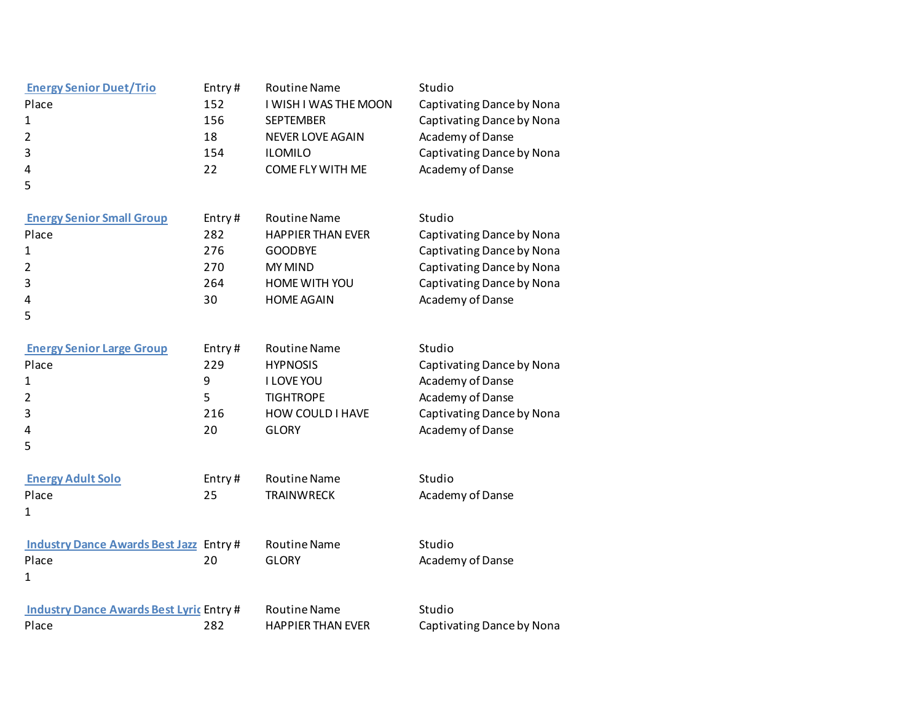| <b>Energy Senior Duet/Trio</b><br>Place<br>$\mathbf{1}$<br>2<br>3<br>4<br>5     | Entry#<br>152<br>156<br>18<br>154<br>22  | <b>Routine Name</b><br>I WISH I WAS THE MOON<br><b>SEPTEMBER</b><br><b>NEVER LOVE AGAIN</b><br><b>ILOMILO</b><br>COME FLY WITH ME | Studio<br>Captivating Dance by Nona<br>Captivating Dance by Nona<br>Academy of Danse<br>Captivating Dance by Nona<br>Academy of Danse          |
|---------------------------------------------------------------------------------|------------------------------------------|-----------------------------------------------------------------------------------------------------------------------------------|------------------------------------------------------------------------------------------------------------------------------------------------|
| <b>Energy Senior Small Group</b><br>Place<br>1<br>$\overline{2}$<br>3<br>4<br>5 | Entry#<br>282<br>276<br>270<br>264<br>30 | <b>Routine Name</b><br><b>HAPPIER THAN EVER</b><br><b>GOODBYE</b><br><b>MY MIND</b><br>HOME WITH YOU<br><b>HOME AGAIN</b>         | Studio<br>Captivating Dance by Nona<br>Captivating Dance by Nona<br>Captivating Dance by Nona<br>Captivating Dance by Nona<br>Academy of Danse |
| <b>Energy Senior Large Group</b><br>Place<br>1<br>2<br>3<br>4<br>5              | Entry#<br>229<br>9<br>5<br>216<br>20     | <b>Routine Name</b><br><b>HYPNOSIS</b><br>I LOVE YOU<br><b>TIGHTROPE</b><br>HOW COULD I HAVE<br><b>GLORY</b>                      | Studio<br>Captivating Dance by Nona<br>Academy of Danse<br>Academy of Danse<br>Captivating Dance by Nona<br>Academy of Danse                   |
| <b>Energy Adult Solo</b><br>Place<br>1                                          | Entry#<br>25                             | <b>Routine Name</b><br><b>TRAINWRECK</b>                                                                                          | Studio<br>Academy of Danse                                                                                                                     |
| <b>Industry Dance Awards Best Jazz Entry#</b><br>Place<br>1                     | 20                                       | <b>Routine Name</b><br><b>GLORY</b>                                                                                               | Studio<br>Academy of Danse                                                                                                                     |
| <b>Industry Dance Awards Best Lyric Entry #</b><br>Place                        | 282                                      | <b>Routine Name</b><br><b>HAPPIER THAN EVER</b>                                                                                   | Studio<br>Captivating Dance by Nona                                                                                                            |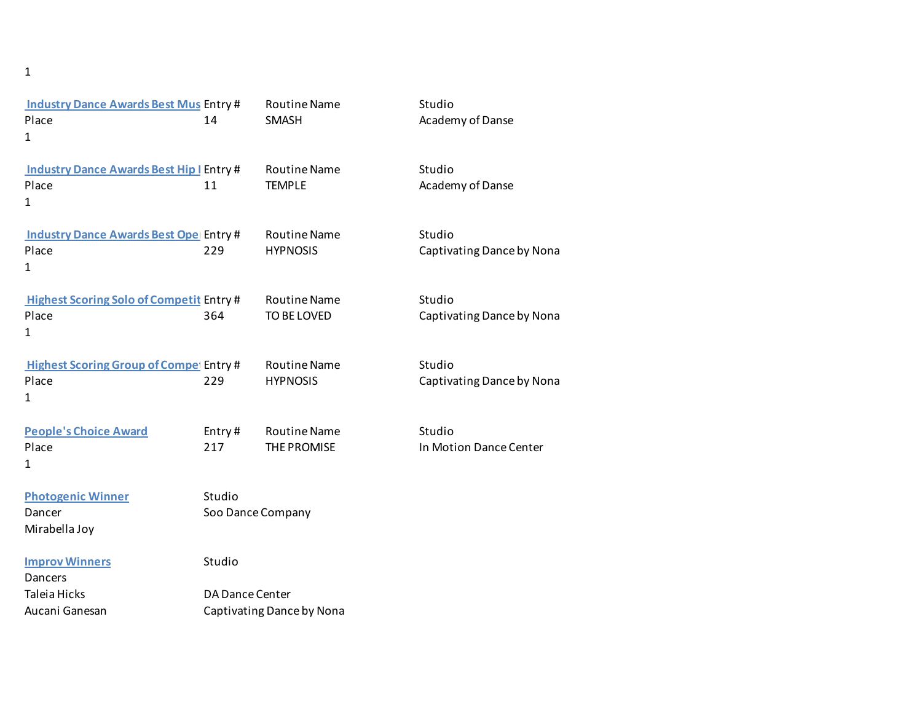## 1

| <b>Industry Dance Awards Best Mus Entry #</b><br>Place<br>$\mathbf{1}$ | 14                                           | <b>Routine Name</b><br><b>SMASH</b>    | Studio<br>Academy of Danse          |  |
|------------------------------------------------------------------------|----------------------------------------------|----------------------------------------|-------------------------------------|--|
| <b>Industry Dance Awards Best Hip   Entry #</b><br>Place<br>1          | 11                                           | <b>Routine Name</b><br><b>TEMPLE</b>   | Studio<br>Academy of Danse          |  |
| <b>Industry Dance Awards Best Ope Entry #</b><br>Place<br>1            | 229                                          | <b>Routine Name</b><br><b>HYPNOSIS</b> | Studio<br>Captivating Dance by Nona |  |
| <b>Highest Scoring Solo of Competit Entry #</b><br>Place<br>1          | 364                                          | <b>Routine Name</b><br>TO BE LOVED     | Studio<br>Captivating Dance by Nona |  |
| <b>Highest Scoring Group of Compet Entry #</b><br>Place<br>1           | 229                                          | <b>Routine Name</b><br><b>HYPNOSIS</b> | Studio<br>Captivating Dance by Nona |  |
| <b>People's Choice Award</b><br>Place<br>1                             | Entry#<br>217                                | <b>Routine Name</b><br>THE PROMISE     | Studio<br>In Motion Dance Center    |  |
| <b>Photogenic Winner</b><br>Dancer<br>Mirabella Joy                    | Studio<br>Soo Dance Company                  |                                        |                                     |  |
| <b>Improv Winners</b><br>Dancers                                       | Studio                                       |                                        |                                     |  |
| Taleia Hicks<br>Aucani Ganesan                                         | DA Dance Center<br>Captivating Dance by Nona |                                        |                                     |  |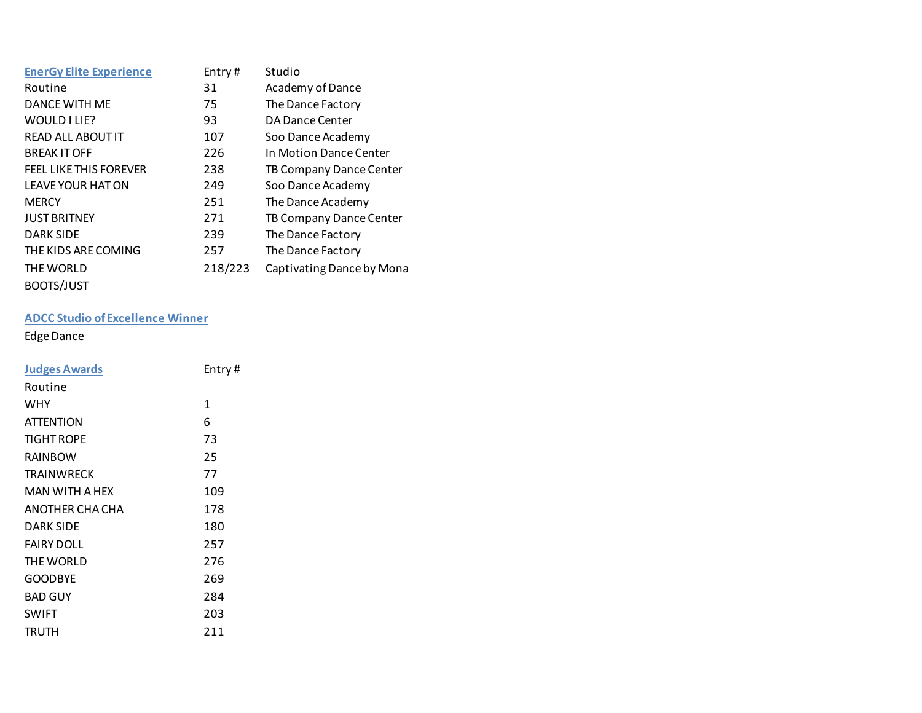| <b>EnerGy Elite Experience</b> | Entry#  | Studio                    |
|--------------------------------|---------|---------------------------|
| Routine                        | 31      | Academy of Dance          |
| DANCE WITH ME                  | 75      | The Dance Factory         |
| WOULD I LIE?                   | 93      | DA Dance Center           |
| READ ALL ABOUT IT              | 107     | Soo Dance Academy         |
| <b>BREAK IT OFF</b>            | 226     | In Motion Dance Center    |
| <b>FEEL LIKE THIS FOREVER</b>  | 238     | TB Company Dance Center   |
| <b>LEAVE YOUR HAT ON</b>       | 249     | Soo Dance Academy         |
| <b>MERCY</b>                   | 251     | The Dance Academy         |
| <b>JUST BRITNEY</b>            | 271     | TB Company Dance Center   |
| <b>DARK SIDE</b>               | 239     | The Dance Factory         |
| THE KIDS ARE COMING            | 257     | The Dance Factory         |
| THE WORLD                      | 218/223 | Captivating Dance by Mona |
| BOOTS/JUST                     |         |                           |

## **ADCC Studio of Excellence Winner**

## Edge Dance

| <b>Judges Awards</b> | Entry# |
|----------------------|--------|
| Routine              |        |
| <b>WHY</b>           | 1      |
| <b>ATTENTION</b>     | 6      |
| <b>TIGHT ROPE</b>    | 73     |
| RAINBOW              | 25     |
| <b>TRAINWRECK</b>    | 77     |
| MAN WITH A HEX       | 109    |
| ANOTHER CHA CHA      | 178    |
| <b>DARK SIDE</b>     | 180    |
| <b>FAIRY DOLL</b>    | 257    |
| THE WORLD            | 276    |
| <b>GOODBYE</b>       | 269    |
| <b>BAD GUY</b>       | 284    |
| <b>SWIFT</b>         | 203    |
| <b>TRUTH</b>         | 211    |